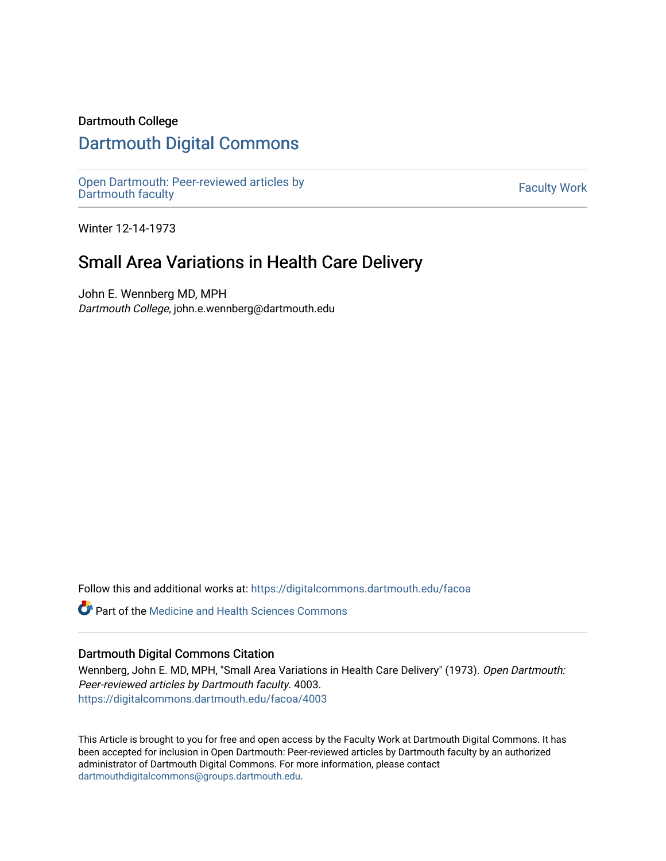## Dartmouth College

## [Dartmouth Digital Commons](https://digitalcommons.dartmouth.edu/)

[Open Dartmouth: Peer-reviewed articles by](https://digitalcommons.dartmouth.edu/facoa)  Open Dartmouth Peer-reviewed articles by<br>[Dartmouth faculty](https://digitalcommons.dartmouth.edu/facoa)

Winter 12-14-1973

## Small Area Variations in Health Care Delivery

John E. Wennberg MD, MPH Dartmouth College, john.e.wennberg@dartmouth.edu

Follow this and additional works at: [https://digitalcommons.dartmouth.edu/facoa](https://digitalcommons.dartmouth.edu/facoa?utm_source=digitalcommons.dartmouth.edu%2Ffacoa%2F4003&utm_medium=PDF&utm_campaign=PDFCoverPages)

**Part of the Medicine and Health Sciences Commons** 

### Dartmouth Digital Commons Citation

Wennberg, John E. MD, MPH, "Small Area Variations in Health Care Delivery" (1973). Open Dartmouth: Peer-reviewed articles by Dartmouth faculty. 4003. [https://digitalcommons.dartmouth.edu/facoa/4003](https://digitalcommons.dartmouth.edu/facoa/4003?utm_source=digitalcommons.dartmouth.edu%2Ffacoa%2F4003&utm_medium=PDF&utm_campaign=PDFCoverPages) 

This Article is brought to you for free and open access by the Faculty Work at Dartmouth Digital Commons. It has been accepted for inclusion in Open Dartmouth: Peer-reviewed articles by Dartmouth faculty by an authorized administrator of Dartmouth Digital Commons. For more information, please contact [dartmouthdigitalcommons@groups.dartmouth.edu](mailto:dartmouthdigitalcommons@groups.dartmouth.edu).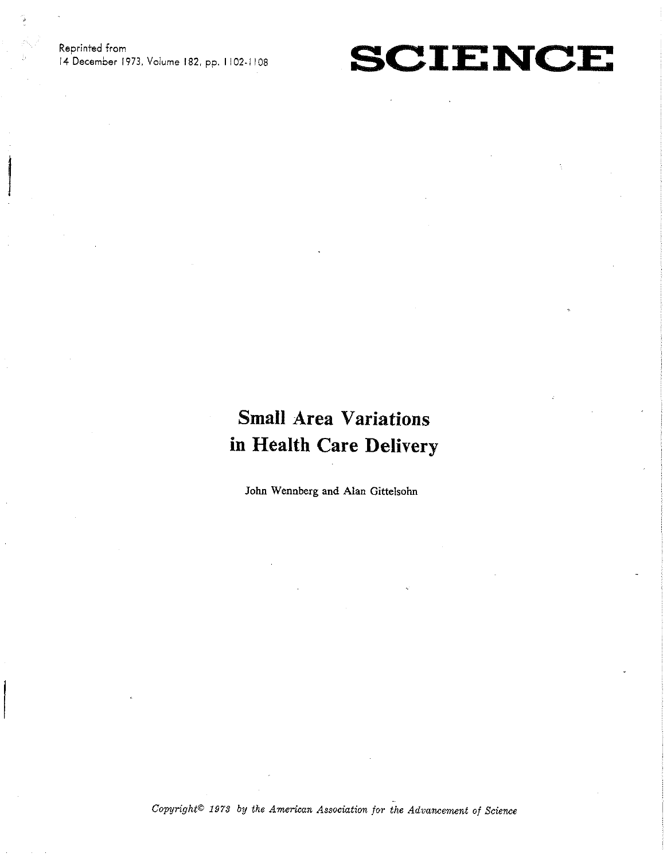**International Communistics** 



# **Small Area Variations in Health Care Delivery**

John Wennberg and Alan Gittelsohn

. *Copyright©* <sup>1973</sup> *by the American Association for the Advancement of Science*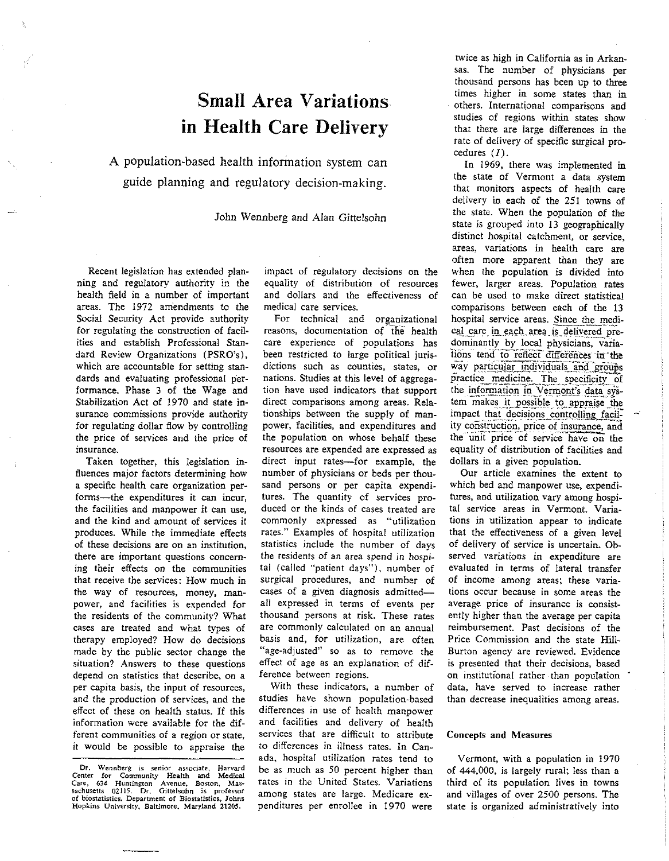# Small Area Variations in Health Care Delivery

A population-based health information system can guide planning and regulatory decision-making.

John Wennberg and Alan Gittelsohn

Recent legislation has extended planning and regulatory authority in the health field in a number of important areas. The 1972 amendments to the Social Security Act provide authority for regulating the construction of facilities and establish Professional Standard Review Organizations (PSRO's), which are accountable for setting standards and evaluating professional performance. Phase 3 of the Wage and Stabilization Act of 1970 and state insurance commissions provide authority for regulating dollar flow by controlling the price of services and the price of insurance.

Taken together, this legislation influences major factors determining how a specific health care organization performs-the expenditures it can incur, the facilities and manpower it can use, and the kind and amount of services it produces. While the immediate effects of these decisions are on an institution, there are important questions concerning their effects on the communities that receive the services: How much in the way of resources, money, manpower, and facilities is expended for the residents of the community? What cases are treated and what types of therapy employed? How do decisions made by the public sector change the situation? Answers to these questions depend on statistics that describe, on a per capita basis. the input of resources, and the production of services, and the effect of these on health status. If this information were available for the different communities of a region or state, it would be possible to appraise the

impact of regulatory decisions on the equality of distribution of resources and dollars and the effectiveness of medical care services.

For technical and organizational reasons, documentation of the health care experience of populations has been restricted to large political jurisdictions such as counties. states, or nations. Studies at this level of aggregation have used indicators that support direct comparisons among areas. Relationships between the supply of manpower. facilities. and expenditures and the population on whose behalf these resources are expended are expressed as direct input rates-for example, the number of physicians or beds per thou~ sand persons or per capita expenditures. The quantity of services produced or the kinds of cases treated are commonly expressed as "utilization rates." Examples of hospital utilization statistics include the number of days the residents of an area spend in hospital (called "patient days"), number of surgical procedures. and number of cases of a given diagnosis admittedall expressed in terms of events per thousand persons at risk. These rates are commonly calculated on an annual basis and, for utilization, are often "age-adjusted" so as to remove the effect of age as an explanation of difference between regions.

With these indicators. a number of studies have shown population-based differences in use of health manpower and facilities and delivery of health services that are difficult to attribute to differences in illness rates. In Canada. hospital utilization rates tend to be as much as 50 percent higher than rates in the United States. Variations among states are large. Medicare expenditures per enrollee in 1970 were

twice as high in California as in Arkansas. The number of physicians per thousand persons has been up to three times higher in some states than in others. International comparisons and studies of regions within states show that there are large differences in the rate of delivery of specific surgical procedures (1).

In 1969, there was implemented in the state of Vermont a data system that monitors aspects of health care delivery in each of the 251 towns of the state. When the population of the state is grouped into 13 geographically distinct hospital catchment, or service, areas, variations in health care are often more apparent than they are when the population is divided into fewer, larger areas. Population rates can be used to make direct statistical comparisons between each of the 13 hospital service areas. Since the medical care in each area is delivered predominantly by local physicians, variations tend to reflect differences in the way particular individuals and groups practice inequente. The specificity of the information in Vermont's data system makes it possible to appraise the impact that decisions controlling facility construction, price of insurance, and the unit price of service have on the equality of distribution of facilities and dollars in a given population.

Our article examines the extent to which bed and manpower use, expenditures, and utilization vary among hospital service areas in Vermont. Variations in utilization appear to indicate that the effectiveness of a given level of delivery of service is uncertain. Ob~ served variations in expenditure are evaluated in terms of lateral transfer of income among areas; these variations occur because in some areas the average price of insurance *is* consistently higher than the average per capita reimbursement. Past decisions of the Price Commission and the state Hill~ Burton agency are reviewed. Evidence is presented that their decisions. based on institutional rather than population data. have served to increase rather than decrease inequalities among areas.

#### Concepts and Measures

Vermont, with a population in 1970 of 444,000, is largely rural; less than a third of its population lives in towns and villages of over 2500 persons. The state is organized administratively into

Dr. Wennberg is senior associate. Harvard Center for Community Health and Medical Care. 634 Huntington Avenue, Boston, Mas~ sachusetts 02115. Dr. Gittelsohn is professor of biostatistics. Department of Biostatistics, Johns Hopkins University. Baltimore. Maryland 21205.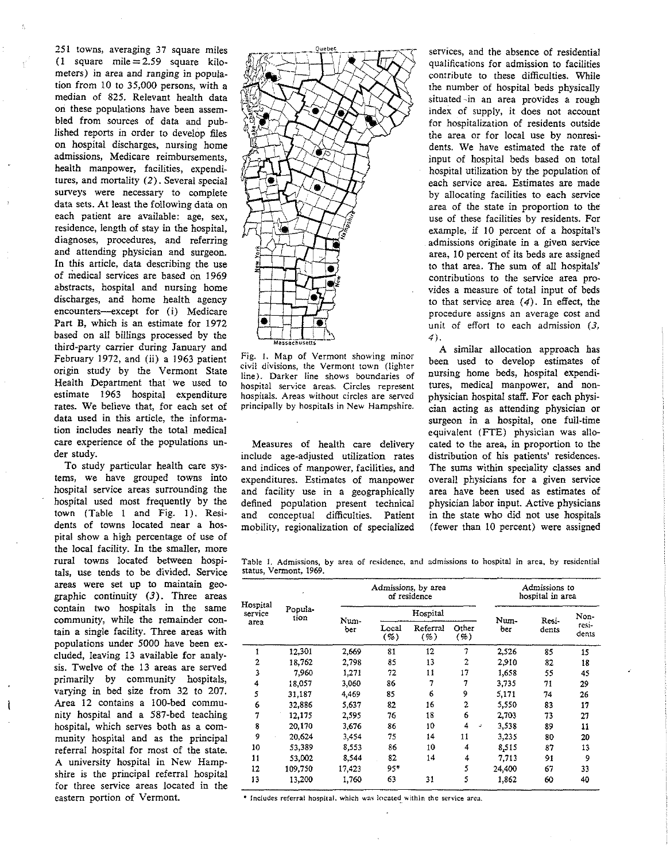251 towns, averaging 37 square miles  $(1)$  square mile = 2.59 square kilometers) in area and ranging in population from 10 to 35,000 persons, with a median of 825. Relevant health data on these populations have been assembled from sources of data and pub~ lished reports in order to develop files on hospital discharges, nursing home admissions, Medicare reimbursements, health manpower, facilities, expenditures, and mortality (2). Several special surveys were necessary to complete data sets. At least the following data on each patient are available: age, sex, residence, length of stay in the hospital, diagnoses, procedures, and referring and attending physician and surgeon. In this article, data describing the use of medical services are based on 1969 abstracts, hospital and nursing home discharges, and home health agency encounters--except for (i) Medicare Part B, which is an estimate for 1972 based on all billings processed by the third-party carrier during January and February 1972, and (ii) a 1963 patient origin study by the Vermont State Health Department that we used to estimate 1963 hospital expenditure rates. We believe that, for each set of data used in this article, the information includes nearly the total medical care experience of the populations under study.

To study particular health care systems, we have grouped towns into hospital service areas surrounding the hospital used most frequently by the town (Table I and Fig. 1). Residents of towns located near a hospital show a high percentage of use of the local facility. In the smaller, more rural towns located between hospitals, use tends to be divided. Service areas were set up to maintain geographic continuity  $(3)$ . Three areas contain two hospitals in the same community, while the remainder contain a single facility. Three areas with populations under 5000 have been excluded, leaving 13 available for analysis. Twelve of the 13 areas are served primarily by community hospitals, varying in bed size from 32 to 207. Area 12 contains a 100-bed community hospital and a 587-bed teaching hospital, which serves both as a community hospital and as the principal referral hospital for most of the state. A university hospital in New Hampshire is the principal referral hospital for three service areas located in the eastern portion of Vermont.



Fig. I. Map of Vermont showing minor civil divisions, the Vermont town (lighter line). Darker line shows boundaries of hospital service areas. Circles represent hospitals. Areas without circles are served principally by hospitals in New Hampshire.

Measures of health care delivery include age-adjusted utilization rates and indices of manpoWer, facilities, and expenditures. Estimates of manpower and facility use in a geographically defined population present technical and conceptual difficulties. Patient mobility, regionalization of specialized

services, and the absence of residential qualifications for admission to facilities contribute to these difficulties. While the number of hospital beds physically situated -in an area provides a rough index of supply, it does not account for hospitalization of residents outside the area or for local use by nonresidents. We have estimated the rate of input of hospital beds based on total hospital utilization by the population of each service area. Estimates are made by allocating facilities to each service area of the state in proportion to the use of these facilities by residents. For example, if 10 percent of a hospital's admissions originate in a given service area, 10 percent of its beds are assigned to that area. The sum of all hospitals' contributions to the service area provides a measure of total input of beds to that service area  $(4)$ . In effect, the procedure assigns an average cost and unit of effort to each admission (3, 4).

A similar allocation approach has been used to develop estimates of nursing horne beds, hospital expenditures, medical manpower, and non~ physician hospital staff. For each physician acting as attending physician or surgeon in a hospital, one full-time equivalent (FTE) physician was allocated to the area, in proportion to the distribution of his patients' residences. The sums within speciality classes and overall physicians for a given service area have been used as estimates of physician labor input. Active physicians in the state who did not use hospitals (fewer than 10 percent) were assigned

Table 1. Admissions, by area of residence, and admissions to hospital in area, by residential status, Vermont, 1969.

| Hospital<br>service<br>area | Popula-<br>tion | Admissions, by area<br>of residence |               |                  |                     | Admissions to<br>hospital in area |                |                |
|-----------------------------|-----------------|-------------------------------------|---------------|------------------|---------------------|-----------------------------------|----------------|----------------|
|                             |                 | Num-<br>ber                         | Hospital      |                  |                     |                                   |                | Non-           |
|                             |                 |                                     | Local<br>( %) | Referral<br>( %) | Other<br>(%)        | Num-<br>ber                       | Resi-<br>dents | resi-<br>dents |
| 1                           | 12,301          | 2,669                               | 81            | 12               | 7                   | 2,526                             | 85             | 15             |
| 2                           | 18,762          | 2,798                               | 85            | 13               | $\overline{2}$      | 2.910                             | 82             | 18             |
| 3                           | 7.960           | 1.271                               | 72            | 11               | 17                  | 1,658                             | 55             | 45             |
| 4                           | 18,057          | 3,060                               | 86            | 7                | 7                   | 3,735                             | 71             | 29             |
| 5                           | 31,187          | 4,469                               | 85            | 6                | 9                   | 5,171                             | 74             | 26             |
| 6                           | 32,886          | 5,637                               | 82            | 16               | 2                   | 5,550                             | 83             | 17             |
| 7                           | 12,175          | 2,595                               | 76            | 18               | 6                   | 2,703                             | 73             | 27             |
| 8                           | 20,170          | 3,676                               | 86            | 10               | $\overline{4}$<br>ر | 3,538                             | 89             | 11             |
| 9                           | 20,624          | 3,454                               | 75            | 14               | 11                  | 3,235                             | 80             | 20             |
| 10                          | 53,389          | 8,553                               | 86            | 10               | 4                   | 8,515                             | 87             | 13             |
| 11                          | 53,002          | 8,544                               | 82            | 14               | 4                   | 7.713                             | 91             | 9              |
| 12                          | 109,750         | 17,423                              | 95*           |                  | 5                   | 24,400                            | 67             | 33             |
| 13                          | 13,200          | 1,760                               | 63            | 31               | 5                   | 1,862                             | 60             | 40             |

\* Includes referral hospital, which was located within the service area.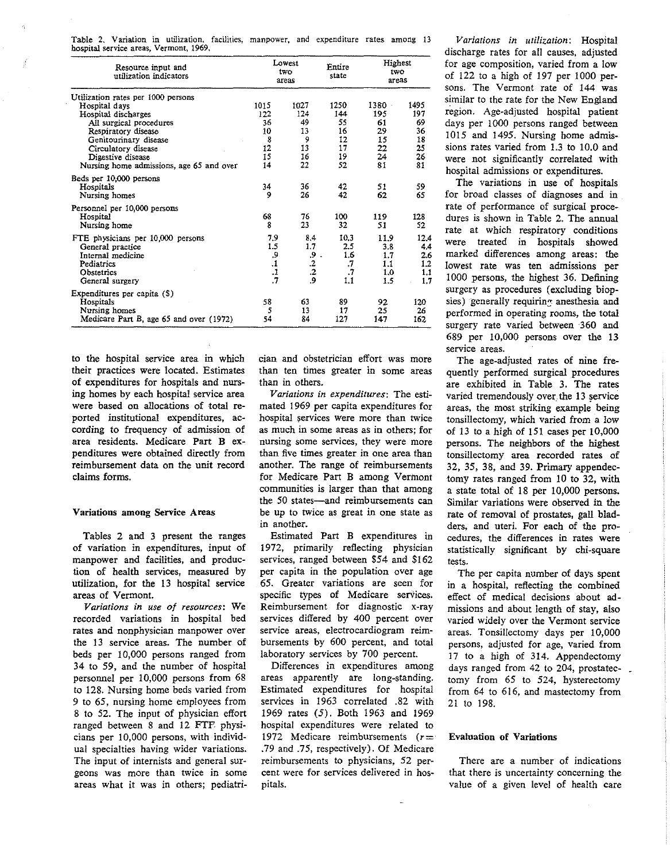**Table** 2. **Variation** in **utilization, facilities, manpower,** and **expenditure rates among** 13 **hospital service areas, Vermont, 1969.**

| Resource input and<br>utilization indicators | Lowest<br>two<br>areas                     |                                | Entire<br>state | Highest<br>two<br>areas |      |
|----------------------------------------------|--------------------------------------------|--------------------------------|-----------------|-------------------------|------|
| Utilization rates per 1000 persons           |                                            |                                |                 |                         |      |
| Hospital days                                | 1015                                       | 1027                           | 1250            | 1380                    | 1495 |
| Hospital discharges                          | 122                                        | 124                            | 144             | 195                     | 197  |
| All surgical procedures                      | 36                                         | 49                             | 55              | 61                      | 69   |
| Respiratory disease                          | 10                                         | 13                             | 16              | 29                      | 36   |
| Genitourinary disease                        | 8                                          | 9                              | 12              | 15                      | 18   |
| Circulatory disease                          | 12                                         | 13                             | 17              | 22                      | 25   |
| Digestive disease                            | 15                                         | 16                             | 19              | 24                      | 26   |
| Nursing home admissions, age 65 and over     | 14                                         | 22                             | 52              | 81                      | 81   |
| Beds per 10,000 persons                      |                                            |                                |                 |                         |      |
| Hospitals                                    | 34                                         | 36                             | 42              | 51                      | 59   |
| Nursing homes                                | 9                                          | 26                             | 42              | 62                      | 65   |
| Personnel per 10,000 persons                 |                                            |                                |                 |                         |      |
| Hospital                                     | 68                                         | 76                             | 100             | 119.                    | 128  |
| Nursing home                                 | 8                                          | 23                             | 32              | 51                      | 52   |
| FTE physicians per 10,000 persons            | 7,9                                        | 8.4                            | 10.3            | 11.9                    | 12.4 |
| General practice                             | 1.5                                        | 1.7                            | 2.5             | 3.8                     | 4,4  |
| Internal medicine                            | و.                                         |                                | 1.6             | 1.7                     | 2.6  |
| Pediatrics                                   | $\begin{array}{c} 1 \\ 1 \\ 7 \end{array}$ |                                | $\cdot$ 7       | 1.1                     | 1.2  |
| Obstetrics                                   |                                            |                                | .7              | 1.0                     | 1.1  |
| General surgery                              |                                            | $\frac{1}{2}$<br>$\frac{2}{9}$ | 1.1             | 1.5                     | 1.7  |
| Expenditures per capita (\$)                 |                                            |                                |                 |                         |      |
| Hospitals                                    | 58                                         | 63.                            | 89              | 92                      | 120  |
| Nursing homes                                | 5                                          | 13                             | 17              | 25                      | 26   |
| Medicare Part B, age 65 and over (1972)      | 54                                         | 84                             | 127             | 147                     | 162  |

**to the hospital service area in which their practices were located. Estimates of expenditures for hospitals and** nurs~ **ing homes by each hospital service area were based on allocations of total** re~ **ported institutional expenditures,** ac~ **cording to frequency of admission of area residents. Medicare Part B** ex~ **penditures were obtained directly from reimbursement data on the unit record claims forms.**

#### **Variations among Service Areas**

Tables 2 and 3 present the ranges **of variation in expenditures, input of manpower and facilities, and prodUCtion of health services, measured by utilization, for the 13 hospital service areas of Vermont.**

*Variations in use of resources:* **We recorded variations in hospital bed rates and nonphysician manpower over the 13 service areas. The number of** beds per 10,000 persons ranged from 34 to 59, and the number of hospital personnel per 10,000 persons from 68 to 128. Nursing home beds varied from **9 to 65, nursing home employees from** 8 to 52. The input of physician effort ranged between 8 and 12 FTF physi**cians per 10,000 persons, with** individ~ **ual specialties having wider variations. The input of internists and general** sur~ **geons was more than twice in some areas what it was in others;** pediatri~ **cian and obstetrician effort was more than ten times greater in some areas than in others.**

*Variations in expenditures:* **The** esti~ **mated 1969 per capita expenditures for hospital** ~ervices **were more than twice as much in some areas as in others; for nursing some services, they were more than five times greater in one area than another. The range of reimbursements for Medicare Part B among Vermont communities is larger than that among the 50 states-and reimbursements can be up to twice as great in one state as in another.**

**Estimated Part B expenditures in 1972, primarily reflecting physician** services, ranged between \$54 and \$162 **per capita in the population over age 65. Greater variations are seen for specific types of Medicare serVices. Reimbursement for diagnostic** x~ray **services differed by 400 percent over service areas, electrocardiogram** reim~ bursements by 600 percent, and total laboratory services by 700 percent.

**Differences in expenditures among areas apparently are long-standing. Estimated expenditures for hospital** services in 1963 correlated .82 with 1969 rates (5). Both 1963 and 1969 **hospital expenditures were related to 1972 Medicare reimbursements** *(r=* .79 and .75, respectively). Of Medicare **reimbursements to physicians, 52** per~ **cent were for services delivered in** hos~ **pitals.**

*Variations in utilization:* **Hospital discharge rates for all causes, adjusted for age composition, varied from a low** of 122 to a high of 197 per 1000 per**sons. The Vermont rate of 144 was** similar to the rate for the New England region. Age-adjusted hospital patient days per 1000 persons ranged between 1015 and 1495. Nursing home admis**sions rates varied from 1.3 to 10.0 and were not significantly correlated with hospital admissions or expenditures.**

**The variations in use of hospitals for broad classes of diagnoses and in rate of performance of surgical proce·** dures is shown in Table 2. The annual **rate at which respiratory conditions were treated in hospitals showed marked differences among areas: the lowest rate was ten admissions per** 1000 persons, the highest 36. Defining **surgery as procedures (excluding** biop~ sies) generally requirin~ **anesthesia and performed in operating rooms, the total surgery rate varied between ·360 and** 689 per 10,000 persons over the 13 **service areas.**

The age-adjusted rates of nine fre**quently performed surgical procedures** are exhibited in Table 3. The rates **varied tremendously over** the 13 service **areas, the most striking example being tonsillectomy, which varied from a low** of 13 to a high of 151 cases per 10,000 persons. The neighbors of the highest **tonsillectomy area recorded rates of** 32, 35, 38, and 39. Primary appendectomy rates ranged from 10 to 32, with a state total of 18 per 10,000 persons. **Similar variations were observed in the** rate of removal of prostates, gall blad**ders, and uteri. For each of the pro· cedures, the differences in rates were statistically significant by** chi~square **tests.**

The per capita number of days spent **in a hospital, reflecting the combined effect of medical decisions about ad missions and about length of stay, also varied widely over the Vermont service** areas. Tonsillectomy days per 10,000 **persons, adjusted for age, varied from** 17 to a high of 314. Appendectomy **days ranged from 42 to 204,** prostatec~ tomy from 65 to 524, hysterectomy from 64 to 616, and mastectomy from 21 to 198.

#### **Evaluation of Variations**

**There are a number of indications that there is uncertainty concerning the value of a given level of health care**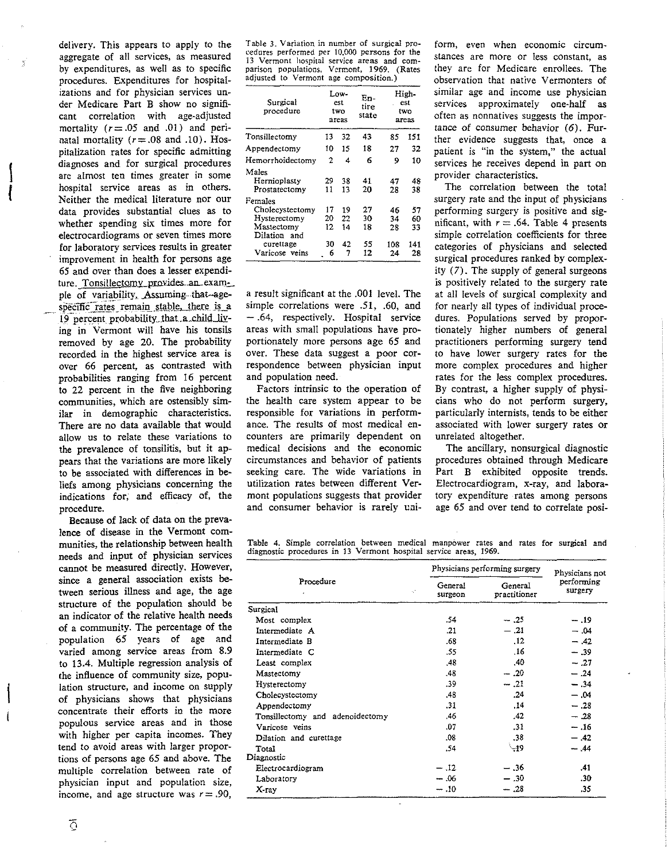delivery. This appears to apply to the aggregate of all services, as measured by expenditures, as well as to specific procedures. Expenditures for hospitalizations and for physician services under Medicare Part B show no significant correlation with age-adjusted mortality  $(r=.05$  and .01) and perinatal mortality  $(r=.08$  and .10). Hospitalization rates for specific admitting diagnoses and for surgical procedures are almost ten times greater in some hospital service areas as in others. Neither the medical literature nor our data provides substantial clues as to whether spending six times more for electrocardiograms or seven times more for laboratory services results in greater improvement in health for persons age 65 and over than does a lesser expenditure. Tonsillectomy\_provides.an.example of variability. Assuming that--agespecific rates remain stable, there is a 19 percent probability that a child living in Vermont will have his tonsils removed by age 20. The probability recorded in the highest service area is over 66 percent, as contrasted with probabilities ranging from 16 percent to 22 percent in the five neighboring communities. which are ostensibly similar in demographic characteristics. There are no data available that would allow us to relate these variations to the prevalence of tonsilitis, but it appears that the variations are more likely to be associated with differences in beliefs among physicians concerning the indications for, and efficacy of, the procedure.

 $\vert$ I

> Because of lack of data on the prevalence of disease in the Vermont communities, the relationship between health needs and input of physician services cannot be measured directly. However, since a general association exists between serious illness and age, the age structure of the population should be an indicator of the relative health needs of a community. The percentage of the population 65 years of age and varied among service areas from 8.9 to 13.4. Multiple regression analysis of the influence of community size, population structure, and income on supply of physicians shows that physicians concentrate their efforts in the more populous service areas and in those with higher per capita incomes. They tend to avoid areas with larger propor~ tions of persons age 65 and above. The multiple correlation between rate of physician input and population size, income, and age structure was  $r = .90$ ,

|                                       | Table 3. Variation in number of surgical pro-<br>cedures performed per 10,000 persons for the |
|---------------------------------------|-----------------------------------------------------------------------------------------------|
|                                       | 13 Vermont hospital service areas and com-                                                    |
|                                       | parison populations, Vermont, 1969. (Rates                                                    |
| adjusted to Vermont age composition.) |                                                                                               |

| Surgical<br>procedure                                                    | Low-<br>est<br>two<br>areas |                | En-<br>tire<br>state | High-<br>est<br>two<br>areas |                |
|--------------------------------------------------------------------------|-----------------------------|----------------|----------------------|------------------------------|----------------|
| Tonsillectomv                                                            | 13                          | 32             | 43                   | 85                           | 151            |
| Appendectomy                                                             | 10                          | 15             | 18                   | 27                           | 32             |
| Hemorrhoidectomy                                                         | 2                           | 4              | 6                    | 9                            | 10             |
| Males<br>Hernioplasty<br>Prostatectomy                                   | 29<br>11                    | 38<br>13       | 41<br>20             | 47<br>28                     | 48<br>38       |
| Females<br>Cholecystectomy<br>Hysterectomy<br>Mastectomy<br>Dilation and | 17<br>20<br>12              | 19<br>22<br>14 | 27<br>30<br>18       | 46<br>34<br>28               | 57<br>60<br>33 |
| curettage<br>Varicose veins                                              | 30<br>6                     | 42<br>7        | 55<br>12             | 108<br>24                    | 141<br>28      |

a result significant at the .001 level. The simple correlations were .51, .60, and - .64, respectively. Hospital service areas with small populations have proportionately more persons age 65 and over. These data suggest a poor correspondence between physician input and population need.

Factors intrinsic to the operation of the health care system appear to be responsible for variations in perform~ ance. The results of most medical encounters are primarily dependent on medical decisions and the economic circumstances and behavior of patients seeking care. The wide variations in utilization rates between different Vermont populations suggests that provider and consumer behavior is rarely uniform, even when economic circumstances are more or less constant, as they are for Medicare enrollees. The observation that native Vermonters of similar age and income use physician services approximately one-half as often as noonatives suggests the importance of consumer behavior (6). Further evidence suggests that, once a patient is "in the system," the actual services he receives depend in part on provider characteristics.

The correlation between the total surgery rate and the input of physicians performing surgery is positive and significant, with  $r = .64$ . Table 4 presents simple correlation coefficients for three categories of physicians and selected surgical procedures ranked by complexity (7). The supply of general surgeons is positively related to the surgery rate at all levels of surgical complexity and for nearly all types of individual procedures. Populations served by proportionately higher numbers of general practitioners performing surgery tend to have lower surgery rates for the more complex procedures and higher rates for the less complex procedures. By contrast, a higher supply of physicians who do not perform surgery, particularly internists, tends to be either associated with lower surgery rates or unrelated altogether.

The ancillary, nonsurgical diagnostic procedures obtained through Medicare Part B exhibited opposite trends. Electrocardiogram, x-ray, and laboratory expenditure rates among persons age 65 and over tend to correlate posi-

Table 4. Simple correlation between medical manpower rates and rates for surgical and diagnostic procedures in 13 Vermont hospital service areas, 1969.

|                                 | Physicians performing surgery                 | Physicians not          |                       |
|---------------------------------|-----------------------------------------------|-------------------------|-----------------------|
| Procedure                       | General<br>$\sigma_{\rm eff}^{-1}$<br>surgeon | General<br>practitioner | performing<br>surgery |
| Surgical                        |                                               |                         |                       |
| Most complex                    | .54                                           | $-.25$                  | $-.19$                |
| Intermediate A                  | .21                                           | $-.21$                  | $-.04$                |
| Intermediate B                  | .68                                           | .12                     | $-.42$                |
| Intermediate C                  | .55                                           | .16                     | $-39$                 |
| Least complex                   | .48                                           | .40                     | $-27$                 |
| Mastectomy                      | .48                                           | $-.20$                  | $-24$                 |
| <b>Hysterectomy</b>             | .39                                           | $-.21$                  | $-34$                 |
| Cholecystectomy                 | .48                                           | .24                     | $-.04$                |
| Appendectomy                    | .31                                           | .14                     | $-28$                 |
| Tonsillectomy and adenoidectomy | .46                                           | .42                     | $-28$                 |
| Varicose veins                  | .07                                           | .31                     | -- .16                |
| Dilation and curettage          | .08                                           | .38                     | $-.42$                |
| Total<br>Diagnostic             | .54                                           | $\vee$ 19               | $-.44$                |
| Electrocardiogram               | $-.12$                                        | $-.36$                  | .41                   |
| Laboratory                      | $-.06$                                        | $-.30$                  | .30                   |
| X-ray                           | $-.10$                                        | $-.28$                  | .35                   |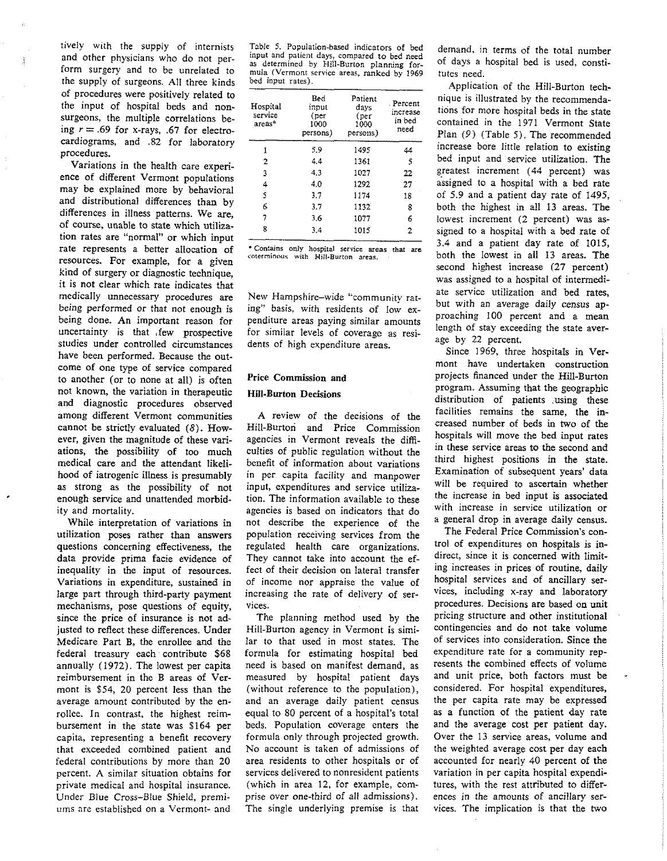tively with the supply of internists and other physicians who do not perform surgery and to be unrelated to the supply of surgeons. All three kinds of procedures were positively related to the input of hospital beds and non. surgeons, the multiple correlations being  $r = .69$  for x-rays, .67 for electrocardiograms, and .82 for laboratory procedures.

Servi

Variations in the health care experience of different Vermont populations may be explained more by behavioral and distributional differences than by differences in illness patterns. We are, of course, unable to state which utiliza~ tion rates are "normal" or which input rate represents a better allocation of resources. For example, for a given kind of surgery or diagnostic technique, it is not clear which rate indicates that medically unnecessary procedures are *being* performed or that not enough is being done. An important reason for uncertainty is that .few prospective studies under controlled circumstances have been performed. Because the outcome of one type of service compared to another (or to none at all) is often not known, the variation in therapeutic and diagnostic procedures observed among different Vermont communities cannot be strictly evaluated (8). However, given the magnitude of these variations, the possibility of too much medical care and the attendant likelihood of iatrogenic illness is presumably as strong as the possibility of not enough service and unattended morbidity and mortality.

While interpretation of variations in utilization poses rather than answers questions concerning effectiveness, the data provide prima facie evidence of inequality in the input of resources. Variations in expenditure, sustained in large part through third-party payment mechanisms, pose questions of equity, since the price of insurance is not adjusted to reflect these differences. Under Medicare Part B, the enrollee and the federal treasury each' contribute \$68 annually (1972). The lowest per capita reimbursement in the B areas of Vermont is \$54, 20 percent less than the average amount contributed by the enrollee. In contrast, the highest reimbursement in the state was \$164 per capita, representing a benefit recovery that exceeded combined patient and federal contributions by more than 20 percent. A similar situation obtains for private medical and hospital insurance. Under Blue Cross-Blue Shield, premiums are established on a Vermont- and

Table 5. Population-based indicators of bed input and patient days, compared to bed need as determined by Hill-Burton planning formula (Vermont service areas, ranked by 1969 bed input rates).

| Hospital<br>service<br>areas* | Bed<br>input<br>(per<br>1000<br>persons) | Patient<br>davs<br>(per<br>1000<br>persons) | . Percent<br>increase<br>in bed<br>need |
|-------------------------------|------------------------------------------|---------------------------------------------|-----------------------------------------|
| 1                             | 5.9                                      | 1495                                        | 44                                      |
| 2                             | 4.4                                      | 1361                                        | 5                                       |
| 3                             | 4.3                                      | 1027                                        | 22                                      |
| 4                             | 4.0                                      | 1292                                        | 27                                      |
| 5                             | 3.7                                      | 1174                                        | 18                                      |
| 6                             | 3.7                                      | 1132                                        | 8                                       |
| 7                             | 3.6                                      | 1077                                        | 6                                       |
| 8                             | 3.4                                      | 1015                                        | 2                                       |

\* Contains only hospital service areas that are coterminous with Mill-Burton areas.

New Hampshire-wide "communitv rating" basis, with residents of low expenditure areas paying similar amounts for similar levels of coverage as residents of high expenditure areas.

#### Price Commission and

#### HiIl·Burton Decisions

A review of the decisions of the Hill-Burtori and Price Commission agencies in Vermont reveals the difficulties of public regulation without the benefit of information about variations in per capita facility and manpower input, expenditures and service utilization. The information available to these agencies is based on indicators that do not describe the experience of the population receiving services from the regulated health care organizations. They cannot take into account the effect of their decision on lateral transfer of income nor appraise the value of increasing the rate of delivery of ser· vices.

The planning method used by the Hill-Burton agency in Vermont is similar to that used in most states. The formula for estimating hospital bed need is based on manifest demand, as measured by hospital patient days (without reference to the population), and an average daily patient census equal to 80 percent of a hospital's total beds. Population coverage enters the formula only through projected growtb. No account is taken of admissions of area residents to other hospitals or of services delivered to nonresident patients (which in area 12, for example, comprise over one-third of all admissions). The single underlying premise is that demand, in terms of the total number of days a hospital bed is used, consti~ tutes need.

Application of the HilI-Burton technique is illustrated by the recommendations for more hospital beds in the state contained in the 1971 Vermont State Plan (9) (Table 5). The recommended increase bore little relation to existing bed input and service utilization. The greatest increment (44 percent) was assigned to a hospital with a bed rate of 5.9 and a patient day rate of 1495, botb the higbest in all 13 areas. The lowest increment (2 percent) was assigned to a hospital with a bed rate of 3.4 and a patient day rate of 1015, both the lowest in all 13 areas. The second highest increase (27 percent) was assigned to a hospital of intermediate service utilization and bed rates, but with an average daily census approaching 100 percent and a mean length of stay exceeding the state average by 22 percent.

Since 1969, three hospitals in Vermont have undertaken construction projects financed under the Hill-Burton program. Assuming that the geographic distribution of patients using these facilities remains the same, the increased number of beds in two of the hospitals will move the bed input rates in these service areas to the second and third highest positions in the state. Examination of subsequent years' data will be required to ascertain whether the increase in bed input is associated with increase in service utilization or a general drop in average daily census.

The Federal Price Commission's control of expenditures on hospitals is indirect, since it is concerned with limiting increases in prices of routine, daily hospital services and of ancillary services, including x-ray and laboratory procedures. Decisions are based on unit pricing structure and other institutional contingencies and do not take volume of services into consideration. Since the expenditure rate for a community represents the combined effects of volume and unit price, both factors must be considered. For hospital expenditures, the per capita rate may be expressed as a function of the patient day rate and the average cost per patient day. Over the 13 service areas, volume and the weighted average cost per day each accounted for nearly 40 percent of the variation in per capita hospital expendi. tures, with the rest attributed to differ· ences in the amounts of ancillary services. The implication is that the two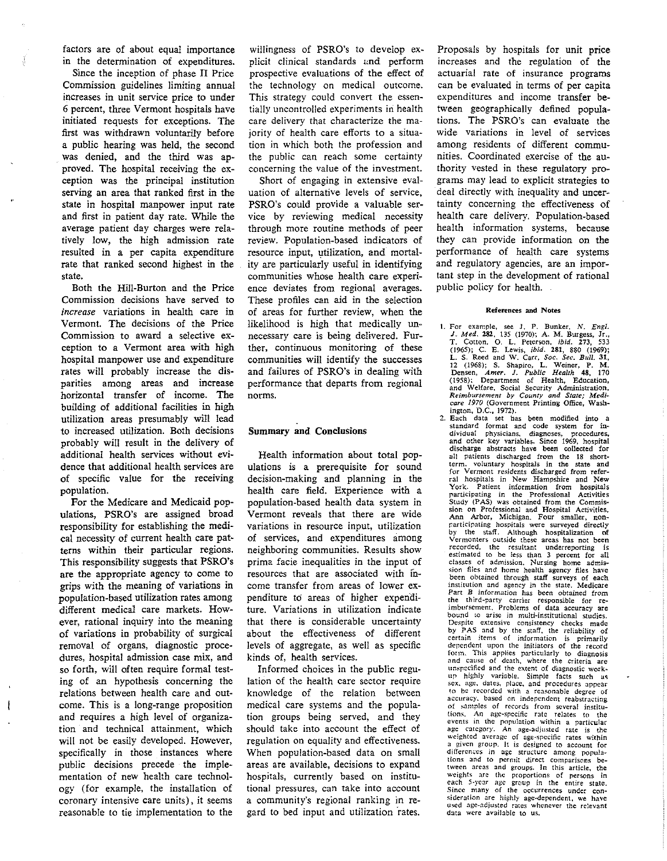factors are of about equal importance in the determination of expenditures.

Since the inception of phase II Price Commission guidelines limiting annual increases in unit service price to under 6 percent, three Vermont hospitals have initiated requests for exceptions. The first was withdrawn voluntarily before a public hearing was held, the second was denied, and the third was ap~ proved. The hospital receiving the exception was the principal institution serving an area that ranked first in the state in hospital manpower input rate and first in patient day rate. While the average patient day charges were relatively low, the high admission rate resulted in a per capita expenditure rate that ranked second highest in the state.

Both the Hill-Burton and the Price Commission decisions have served to *increase* variations in health care in Vermont. The decisions of the Price Commission to award a selective exception to a Vermont area with high hospital manpower use and expenditure rates will probably increase the disparities among areas and increase horizontal transfer of income. The building of additional facilities in high utilization areas presumably will lead to increased utilization. Both decisions probably will result in the delivery of additional health services without evi· dence that additional health services are of specific value for the receiving population.

For the Medicare and Medicaid populations, PSRO's are assigned broad responsibility for establishing the medical necessity of current health care pat~ terns within their particular regions. This responsibility suggests that PSRO's are the appropriate agency to come to grips with the meaning of variations in population-based utilization rates among different medical care markets. However, rational inquiry into the meaning of variations in probability of surgical removal of organs, diagnostic proce~ dures, hospital admission case mix, and so forth, will often require formal test~ ing of an hypothesis concerning the relations between health care and outcome. This is a long-range proposition and requires a high level of organization and technical attainment, which will not be easily developed. However, specifically in those instances where public decisions precede the implementation of new health care technology (for example, the installation of coronary intensive care units), it seems reasonable to tie implementation to the

willingness of PSRO's to develop explicit clinical standards and perform prospective evaluations of the effect of the technology on medical outcome. This strategy could convert the essentially uncontrolled experiments in health care delivery that characterize the majority of health care efforts to a situation in which both the profession and the public can reach some certainty concerning the value of the investment.

Short of engaging in extensive evaluation of alternative levels of service, PSRO's could provide a valuable service by reviewing medical necessity through more routine methods of peer review. Population-based indicators of resource input, utilization, and mortality are particularly useful in identifying communities whose health care experience deviates from regional averages. These profiles can aid in the selection of areas for further review, when the likelihood is high that medically unnecessary care is being delivered. Further, continuous monitoring of these communities will identify the successes and failures of PSRO's in dealing with performance that departs from regional norms.

#### **Summary and Conclusions**

Health information about total populations is a prerequisite for sound decision-making and planning in the health care field. Experience with a population-based health data system in Vermont reveals that there are wide variations in resource input, utilization of services, and expenditures among neighboring communities. Results show prima facie inequalities in the input of resources that are associated with income transfer from areas of lower expenditure to areas of higher expendi~ ture. Variations in utilization indicate that there is considerable uncertainty about the effectiveness of different levels of aggregate, as well as specific kinds of, health services.

Informed choices in the public regu~ lation of the health care sector require knowledge of the relation between medical care systems and the population groups being served, and they should take into account the effect of regulation on equality and effectiveness. When population~based data on small areas are available, decisions to expand hospitals, currently based on institu~ tional pressures, can take into account a community's regional ranking in regard to bed input and utilization rates.

Proposals by hospitals for unit price increases and the regulation of the actuarial rate of insurance programs can be evaluated in terms of per capita expenditures and income transfer between geographically defined populations. The PSRO's can evaluate the wide variations in level of services among residents of different communities. Coordinated exercise of the aUthority vested in these regulatory programs may lead to explicit strategies to deal directly with inequality and uncertainty concerning the effectiveness of health care delivery. Population~based health information systems, because they can provide information on the performance of health care systems and regulatory agencies, are an important step in the development of rational public policy for health.

#### References and Notes

- I. For example, see 1. P. Bunker, N. Eng!. J. *Med.* 282, 135 (1970), A. M. Burgess, Jr., T. Cotton, O. L. Peterson, *ibid.* 273, 533<br>(1965); C. E. Lewis, *ibid.* 281, 880 (1969);<br>L. S. Reed and W. Carr, Soc. Sec. Bull. 31,<br>12 (1968); S. Shapiro, L. Weiner, P. M.<br>Densen, Amer. J. Public Health 48, 170<br>(1958): D *Reimbursement by County and State;* Medi~ *care 1970* (Government Printing Office, Washington, D.C., 1972).
- 2. Each data set has been modified into <sup>a</sup> standard format and code system for in~ dividual physicians, diagnoses, and other key variables. Since 1969, hospital discharge abstracts have been collected for all patients discharged from the 18 shortterm. voluntary hospitals in the state and<br>for Vermont residents discharged from refer-Vermont residents discharged from referral hospitals in New Hampshire and New<br>York. Patient information from hospitals<br>participating in the Professional Activities<br>Study (PAS) was obtained from the Commission on Professional and Hospital Activities, Arbor. Michigan. Four smaller, nonrarticipating hospitals were surveyed directly by the staff. Although hospitalization of Vermonters outside these areas has not been recorded. the resultant underreporting is estimated to be less than 3 percent for all classes of admission. Nursing home admis~ sion files and home health agency files have been obtained through staff surveys of each institution and agency in the state. Medicare Part B information has been obtained from the third-party carrier responsible for re-<br>imbursement. Problems of data accuracy are bound to arise in multi-institutional studies. Despite extensive consistency checks made by PAS and by the staff. the reliability of certain items of information is primarily dependent upon the initiators of the record form. This applies particularly to diagnosis<br>and cause of death, where the criteria are<br>unspecified and the extent of diagnostic workup highly variable. Simple facts such as sex. age. dates. place, and procedures appear to be recorded with a reasonable degree of<br>accuracy, based on independent reabstracting of samples of records from several institulions. An age·specific rate relates to the events in the ropulation within a particular age category. An age-adjusted tate is the weighted average of age-specific rates within <sup>a</sup> given group. It is designed to account for differences in age structure among populations and to permit direct comparisons be~ tween areas and groups. In this article. the weights are the proportions of persons in<br>each 5-year age group in the entire state. sideration are highly age-dependent, we have used age-adjusted rates whcnever the relevant data were available to us.